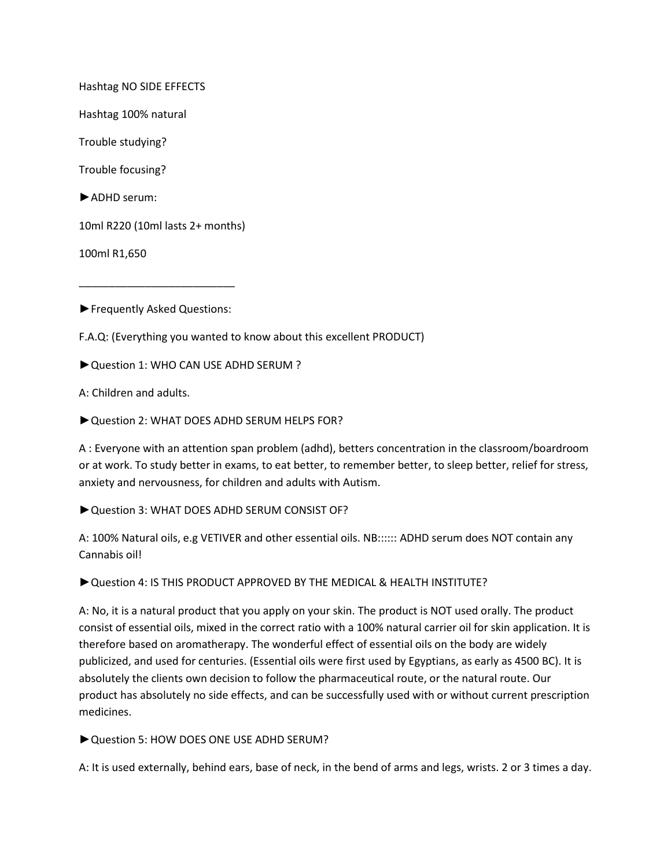Hashtag NO SIDE EFFECTS

Hashtag 100% natural

Trouble studying?

Trouble focusing?

►ADHD serum:

10ml R220 (10ml lasts 2+ months)

100ml R1,650

►Frequently Asked Questions:

\_\_\_\_\_\_\_\_\_\_\_\_\_\_\_\_\_\_\_\_\_\_\_\_\_\_

F.A.Q: (Everything you wanted to know about this excellent PRODUCT)

►Question 1: WHO CAN USE ADHD SERUM ?

A: Children and adults.

►Question 2: WHAT DOES ADHD SERUM HELPS FOR?

A : Everyone with an attention span problem (adhd), betters concentration in the classroom/boardroom or at work. To study better in exams, to eat better, to remember better, to sleep better, relief for stress, anxiety and nervousness, for children and adults with Autism.

►Question 3: WHAT DOES ADHD SERUM CONSIST OF?

A: 100% Natural oils, e.g VETIVER and other essential oils. NB:::::: ADHD serum does NOT contain any Cannabis oil!

►Question 4: IS THIS PRODUCT APPROVED BY THE MEDICAL & HEALTH INSTITUTE?

A: No, it is a natural product that you apply on your skin. The product is NOT used orally. The product consist of essential oils, mixed in the correct ratio with a 100% natural carrier oil for skin application. It is therefore based on aromatherapy. The wonderful effect of essential oils on the body are widely publicized, and used for centuries. (Essential oils were first used by Egyptians, as early as 4500 BC). It is absolutely the clients own decision to follow the pharmaceutical route, or the natural route. Our product has absolutely no side effects, and can be successfully used with or without current prescription medicines.

► Question 5: HOW DOES ONE USE ADHD SERUM?

A: It is used externally, behind ears, base of neck, in the bend of arms and legs, wrists. 2 or 3 times a day.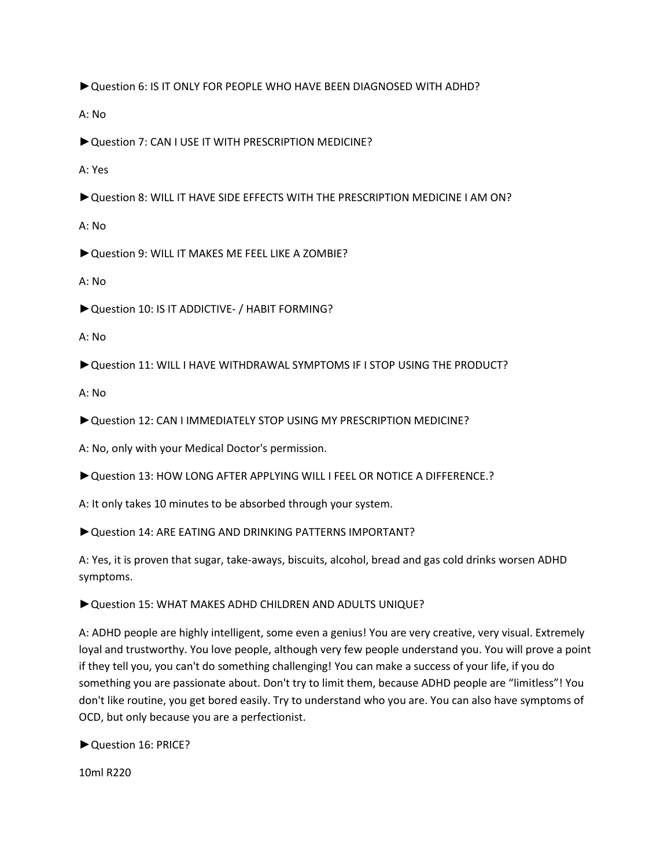►Question 6: IS IT ONLY FOR PEOPLE WHO HAVE BEEN DIAGNOSED WITH ADHD?

A: No

►Question 7: CAN I USE IT WITH PRESCRIPTION MEDICINE?

A: Yes

►Question 8: WILL IT HAVE SIDE EFFECTS WITH THE PRESCRIPTION MEDICINE I AM ON?

A: No

►Question 9: WILL IT MAKES ME FEEL LIKE A ZOMBIE?

A: No

►Question 10: IS IT ADDICTIVE- / HABIT FORMING?

A: No

►Question 11: WILL I HAVE WITHDRAWAL SYMPTOMS IF I STOP USING THE PRODUCT?

A: No

►Question 12: CAN I IMMEDIATELY STOP USING MY PRESCRIPTION MEDICINE?

A: No, only with your Medical Doctor's permission.

►Question 13: HOW LONG AFTER APPLYING WILL I FEEL OR NOTICE A DIFFERENCE.?

A: It only takes 10 minutes to be absorbed through your system.

► Question 14: ARE EATING AND DRINKING PATTERNS IMPORTANT?

A: Yes, it is proven that sugar, take-aways, biscuits, alcohol, bread and gas cold drinks worsen ADHD symptoms.

►Question 15: WHAT MAKES ADHD CHILDREN AND ADULTS UNIQUE?

A: ADHD people are highly intelligent, some even a genius! You are very creative, very visual. Extremely loyal and trustworthy. You love people, although very few people understand you. You will prove a point if they tell you, you can't do something challenging! You can make a success of your life, if you do something you are passionate about. Don't try to limit them, because ADHD people are "limitless"! You don't like routine, you get bored easily. Try to understand who you are. You can also have symptoms of OCD, but only because you are a perfectionist.

►Question 16: PRICE?

10ml R220